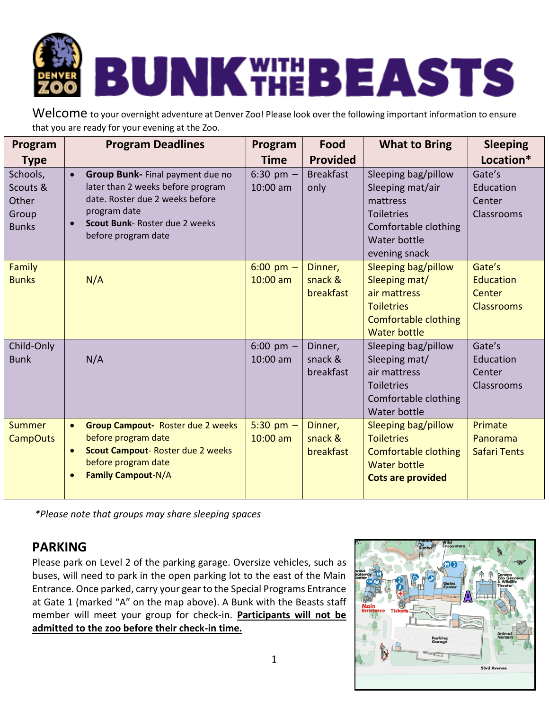

Welcome to your overnight adventure at Denver Zoo! Please look over the following important information to ensure that you are ready for your evening at the Zoo.

| Program<br><b>Type</b>                                 | <b>Program Deadlines</b>                                                                                                                                                         | Program<br><b>Time</b>             | Food<br><b>Provided</b>         | <b>What to Bring</b>                                                                                                              | <b>Sleeping</b><br>Location*                              |
|--------------------------------------------------------|----------------------------------------------------------------------------------------------------------------------------------------------------------------------------------|------------------------------------|---------------------------------|-----------------------------------------------------------------------------------------------------------------------------------|-----------------------------------------------------------|
| Schools,<br>Scouts &<br>Other<br>Group<br><b>Bunks</b> | Group Bunk- Final payment due no<br>later than 2 weeks before program<br>date. Roster due 2 weeks before<br>program date<br>Scout Bunk-Roster due 2 weeks<br>before program date | 6:30 pm $-$<br>$10:00$ am          | <b>Breakfast</b><br>only        | Sleeping bag/pillow<br>Sleeping mat/air<br>mattress<br><b>Toiletries</b><br>Comfortable clothing<br>Water bottle<br>evening snack | Gate's<br>Education<br>Center<br><b>Classrooms</b>        |
| Family<br><b>Bunks</b>                                 | N/A                                                                                                                                                                              | $6:00 \text{ pm } -$<br>$10:00$ am | Dinner,<br>snack &<br>breakfast | Sleeping bag/pillow<br>Sleeping mat/<br>air mattress<br><b>Toiletries</b><br>Comfortable clothing<br><b>Water bottle</b>          | Gate's<br><b>Education</b><br>Center<br><b>Classrooms</b> |
| Child-Only<br><b>Bunk</b>                              | N/A                                                                                                                                                                              | 6:00 pm $-$<br>10:00 am            | Dinner,<br>snack &<br>breakfast | Sleeping bag/pillow<br>Sleeping mat/<br>air mattress<br><b>Toiletries</b><br>Comfortable clothing<br>Water bottle                 | Gate's<br>Education<br>Center<br>Classrooms               |
| <b>Summer</b><br><b>CampOuts</b>                       | <b>Group Campout- Roster due 2 weeks</b><br>$\bullet$<br>before program date<br><b>Scout Campout-Roster due 2 weeks</b><br>before program date<br><b>Family Campout-N/A</b>      | $5:30$ pm $-$<br>$10:00$ am        | Dinner,<br>snack &<br>breakfast | Sleeping bag/pillow<br><b>Toiletries</b><br>Comfortable clothing<br><b>Water bottle</b><br><b>Cots are provided</b>               | Primate<br>Panorama<br><b>Safari Tents</b>                |

*\*Please note that groups may share sleeping spaces* 

# **PARKING**

Please park on Level 2 of the parking garage. Oversize vehicles, such as buses, will need to park in the open parking lot to the east of the Main Entrance. Once parked, carry your gear to the Special Programs Entrance at Gate 1 (marked "A" on the map above). A Bunk with the Beasts staff member will meet your group for check-in. **Participants will not be admitted to the zoo before their check-in time.**